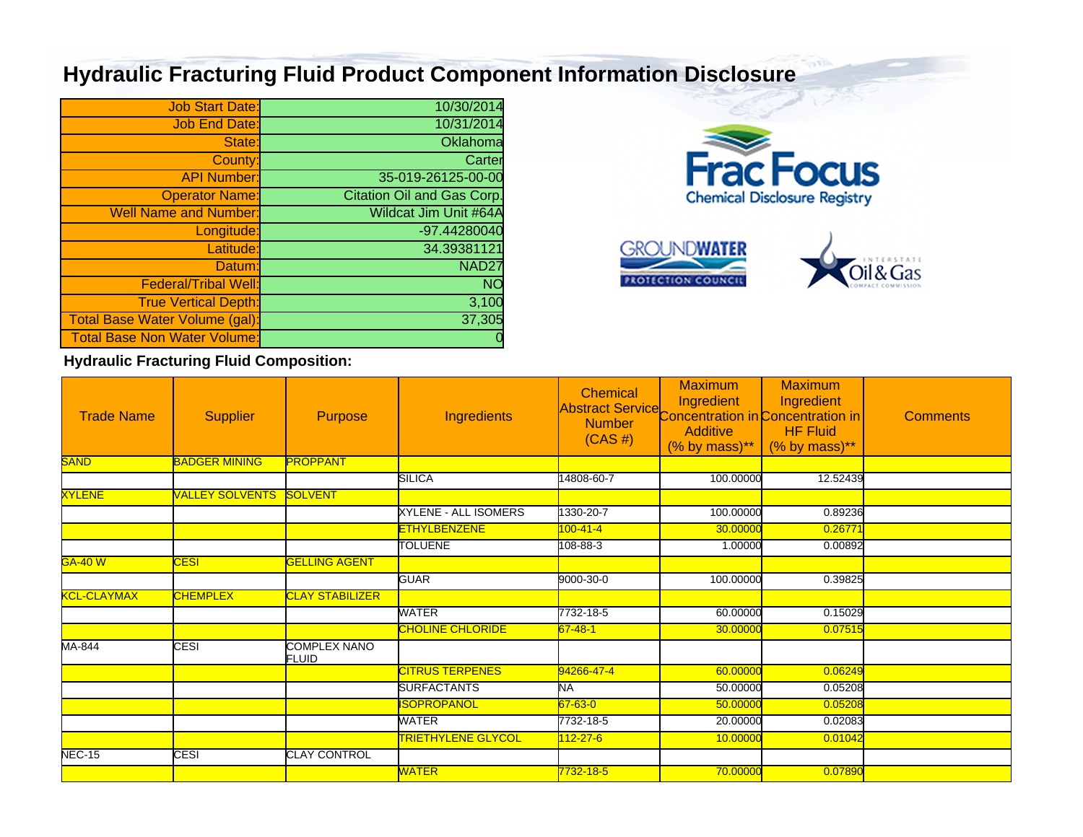## **Hydraulic Fracturing Fluid Product Component Information Disclosure**

| <b>Job Start Date:</b>              | 10/30/2014                        |
|-------------------------------------|-----------------------------------|
| <b>Job End Date:</b>                | 10/31/2014                        |
| State:                              | Oklahoma                          |
| County:                             | Carter                            |
| <b>API Number:</b>                  | 35-019-26125-00-00                |
| <b>Operator Name:</b>               | <b>Citation Oil and Gas Corp.</b> |
| <b>Well Name and Number:</b>        | <b>Wildcat Jim Unit #64A</b>      |
| Longitude:                          | -97.44280040                      |
| Latitude:                           | 34.39381121                       |
| Datum:                              | NAD <sub>27</sub>                 |
| <b>Federal/Tribal Well:</b>         | <b>NO</b>                         |
| <b>True Vertical Depth:</b>         | 3,100                             |
| Total Base Water Volume (gal):      | 37,305                            |
| <b>Total Base Non Water Volume:</b> |                                   |





**Hydraulic Fracturing Fluid Composition:**

| <b>Trade Name</b>  | <b>Supplier</b>        | <b>Purpose</b>                      | Ingredients               | <b>Chemical</b><br>Abstract Service Concentration in Concentration in<br>$(CAS \#)$ | <b>Maximum</b><br>Ingredient<br><b>Additive</b><br>$(% \mathcal{L}_{0})$ (% by mass)** | <b>Maximum</b><br>Ingredient<br><b>HF Fluid</b><br>$(% \mathcal{L}_{0})$ (% by mass)** | <b>Comments</b> |
|--------------------|------------------------|-------------------------------------|---------------------------|-------------------------------------------------------------------------------------|----------------------------------------------------------------------------------------|----------------------------------------------------------------------------------------|-----------------|
| <b>SAND</b>        | <b>BADGER MINING</b>   | <b>PROPPANT</b>                     |                           |                                                                                     |                                                                                        |                                                                                        |                 |
|                    |                        |                                     | <b>SILICA</b>             | 14808-60-7                                                                          | 100.00000                                                                              | 12.52439                                                                               |                 |
| <b>XYLENE</b>      | <b>VALLEY SOLVENTS</b> | <b>SOLVENT</b>                      |                           |                                                                                     |                                                                                        |                                                                                        |                 |
|                    |                        |                                     | XYLENE - ALL ISOMERS      | 1330-20-7                                                                           | 100.00000                                                                              | 0.89236                                                                                |                 |
|                    |                        |                                     | <b>ETHYLBENZENE</b>       | $100 - 41 - 4$                                                                      | 30.00000                                                                               | 0.26771                                                                                |                 |
|                    |                        |                                     | <b>TOLUENE</b>            | 108-88-3                                                                            | 1.00000                                                                                | 0.00892                                                                                |                 |
| <b>GA-40 W</b>     | <b>CESI</b>            | <b>GELLING AGENT</b>                |                           |                                                                                     |                                                                                        |                                                                                        |                 |
|                    |                        |                                     | <b>GUAR</b>               | 9000-30-0                                                                           | 100.00000                                                                              | 0.39825                                                                                |                 |
| <b>KCL-CLAYMAX</b> | <b>CHEMPLEX</b>        | <b>CLAY STABILIZER</b>              |                           |                                                                                     |                                                                                        |                                                                                        |                 |
|                    |                        |                                     | WATER                     | 7732-18-5                                                                           | 60.00000                                                                               | 0.15029                                                                                |                 |
|                    |                        |                                     | <b>CHOLINE CHLORIDE</b>   | $67 - 48 - 1$                                                                       | 30.00000                                                                               | 0.07515                                                                                |                 |
| MA-844             | CESI                   | <b>COMPLEX NANO</b><br><b>FLUID</b> |                           |                                                                                     |                                                                                        |                                                                                        |                 |
|                    |                        |                                     | <b>CITRUS TERPENES</b>    | 94266-47-4                                                                          | 60.00000                                                                               | 0.06249                                                                                |                 |
|                    |                        |                                     | <b>SURFACTANTS</b>        | NA.                                                                                 | 50.00000                                                                               | 0.05208                                                                                |                 |
|                    |                        |                                     | SOPROPANOL                | $67 - 63 - 0$                                                                       | 50.00000                                                                               | 0.05208                                                                                |                 |
|                    |                        |                                     | WATER                     | 7732-18-5                                                                           | 20.00000                                                                               | 0.02083                                                                                |                 |
|                    |                        |                                     | <b>TRIETHYLENE GLYCOL</b> | 112-27-6                                                                            | 10.00000                                                                               | 0.01042                                                                                |                 |
| <b>NEC-15</b>      | <b>CESI</b>            | <b>CLAY CONTROL</b>                 |                           |                                                                                     |                                                                                        |                                                                                        |                 |
|                    |                        |                                     | <b>WATER</b>              | 7732-18-5                                                                           | 70.00000                                                                               | 0.07890                                                                                |                 |